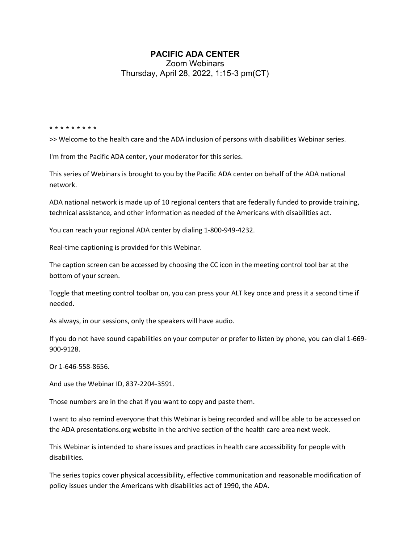## **PACIFIC ADA CENTER**

Zoom Webinars Thursday, April 28, 2022, 1:15-3 pm(CT)

\* \* \* \* \* \* \* \* \*

>> Welcome to the health care and the ADA inclusion of persons with disabilities Webinar series.

I'm from the Pacific ADA center, your moderator for this series.

This series of Webinars is brought to you by the Pacific ADA center on behalf of the ADA national network.

ADA national network is made up of 10 regional centers that are federally funded to provide training, technical assistance, and other information as needed of the Americans with disabilities act.

You can reach your regional ADA center by dialing 1-800-949-4232.

Real-time captioning is provided for this Webinar.

The caption screen can be accessed by choosing the CC icon in the meeting control tool bar at the bottom of your screen.

Toggle that meeting control toolbar on, you can press your ALT key once and press it a second time if needed.

As always, in our sessions, only the speakers will have audio.

If you do not have sound capabilities on your computer or prefer to listen by phone, you can dial 1-669- 900-9128.

Or 1-646-558-8656.

And use the Webinar ID, 837-2204-3591.

Those numbers are in the chat if you want to copy and paste them.

I want to also remind everyone that this Webinar is being recorded and will be able to be accessed on the ADA presentations.org website in the archive section of the health care area next week.

This Webinar is intended to share issues and practices in health care accessibility for people with disabilities.

The series topics cover physical accessibility, effective communication and reasonable modification of policy issues under the Americans with disabilities act of 1990, the ADA.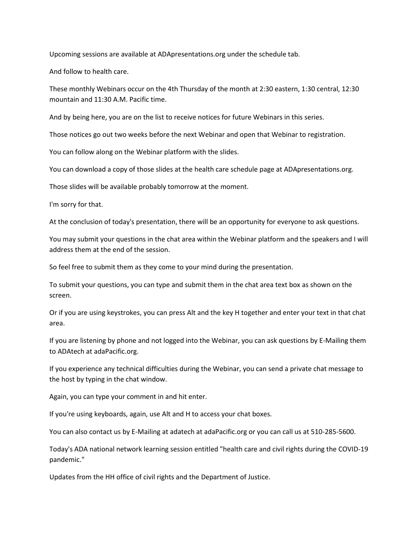Upcoming sessions are available at ADApresentations.org under the schedule tab.

And follow to health care.

These monthly Webinars occur on the 4th Thursday of the month at 2:30 eastern, 1:30 central, 12:30 mountain and 11:30 A.M. Pacific time.

And by being here, you are on the list to receive notices for future Webinars in this series.

Those notices go out two weeks before the next Webinar and open that Webinar to registration.

You can follow along on the Webinar platform with the slides.

You can download a copy of those slides at the health care schedule page at ADApresentations.org.

Those slides will be available probably tomorrow at the moment.

I'm sorry for that.

At the conclusion of today's presentation, there will be an opportunity for everyone to ask questions.

You may submit your questions in the chat area within the Webinar platform and the speakers and I will address them at the end of the session.

So feel free to submit them as they come to your mind during the presentation.

To submit your questions, you can type and submit them in the chat area text box as shown on the screen.

Or if you are using keystrokes, you can press Alt and the key H together and enter your text in that chat area.

If you are listening by phone and not logged into the Webinar, you can ask questions by E-Mailing them to ADAtech at adaPacific.org.

If you experience any technical difficulties during the Webinar, you can send a private chat message to the host by typing in the chat window.

Again, you can type your comment in and hit enter.

If you're using keyboards, again, use Alt and H to access your chat boxes.

You can also contact us by E-Mailing at adatech at adaPacific.org or you can call us at 510-285-5600.

Today's ADA national network learning session entitled "health care and civil rights during the COVID-19 pandemic."

Updates from the HH office of civil rights and the Department of Justice.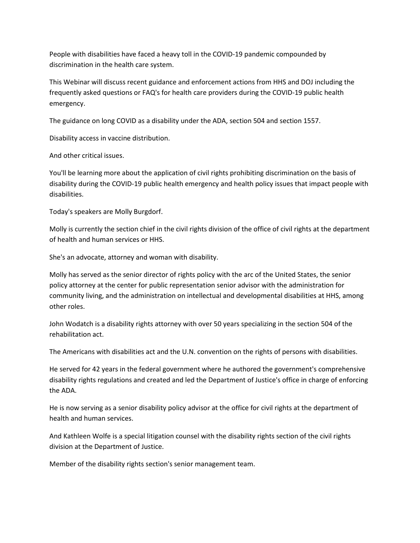People with disabilities have faced a heavy toll in the COVID-19 pandemic compounded by discrimination in the health care system.

This Webinar will discuss recent guidance and enforcement actions from HHS and DOJ including the frequently asked questions or FAQ's for health care providers during the COVID-19 public health emergency.

The guidance on long COVID as a disability under the ADA, section 504 and section 1557.

Disability access in vaccine distribution.

And other critical issues.

You'll be learning more about the application of civil rights prohibiting discrimination on the basis of disability during the COVID-19 public health emergency and health policy issues that impact people with disabilities.

Today's speakers are Molly Burgdorf.

Molly is currently the section chief in the civil rights division of the office of civil rights at the department of health and human services or HHS.

She's an advocate, attorney and woman with disability.

Molly has served as the senior director of rights policy with the arc of the United States, the senior policy attorney at the center for public representation senior advisor with the administration for community living, and the administration on intellectual and developmental disabilities at HHS, among other roles.

John Wodatch is a disability rights attorney with over 50 years specializing in the section 504 of the rehabilitation act.

The Americans with disabilities act and the U.N. convention on the rights of persons with disabilities.

He served for 42 years in the federal government where he authored the government's comprehensive disability rights regulations and created and led the Department of Justice's office in charge of enforcing the ADA.

He is now serving as a senior disability policy advisor at the office for civil rights at the department of health and human services.

And Kathleen Wolfe is a special litigation counsel with the disability rights section of the civil rights division at the Department of Justice.

Member of the disability rights section's senior management team.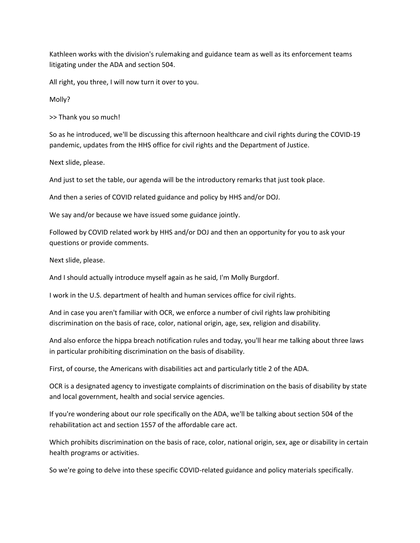Kathleen works with the division's rulemaking and guidance team as well as its enforcement teams litigating under the ADA and section 504.

All right, you three, I will now turn it over to you.

Molly?

>> Thank you so much!

So as he introduced, we'll be discussing this afternoon healthcare and civil rights during the COVID-19 pandemic, updates from the HHS office for civil rights and the Department of Justice.

Next slide, please.

And just to set the table, our agenda will be the introductory remarks that just took place.

And then a series of COVID related guidance and policy by HHS and/or DOJ.

We say and/or because we have issued some guidance jointly.

Followed by COVID related work by HHS and/or DOJ and then an opportunity for you to ask your questions or provide comments.

Next slide, please.

And I should actually introduce myself again as he said, I'm Molly Burgdorf.

I work in the U.S. department of health and human services office for civil rights.

And in case you aren't familiar with OCR, we enforce a number of civil rights law prohibiting discrimination on the basis of race, color, national origin, age, sex, religion and disability.

And also enforce the hippa breach notification rules and today, you'll hear me talking about three laws in particular prohibiting discrimination on the basis of disability.

First, of course, the Americans with disabilities act and particularly title 2 of the ADA.

OCR is a designated agency to investigate complaints of discrimination on the basis of disability by state and local government, health and social service agencies.

If you're wondering about our role specifically on the ADA, we'll be talking about section 504 of the rehabilitation act and section 1557 of the affordable care act.

Which prohibits discrimination on the basis of race, color, national origin, sex, age or disability in certain health programs or activities.

So we're going to delve into these specific COVID-related guidance and policy materials specifically.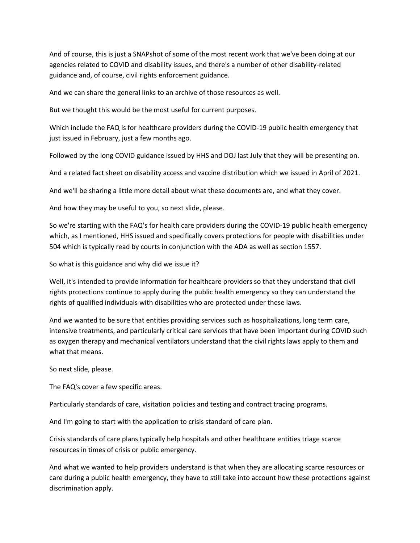And of course, this is just a SNAPshot of some of the most recent work that we've been doing at our agencies related to COVID and disability issues, and there's a number of other disability-related guidance and, of course, civil rights enforcement guidance.

And we can share the general links to an archive of those resources as well.

But we thought this would be the most useful for current purposes.

Which include the FAQ is for healthcare providers during the COVID-19 public health emergency that just issued in February, just a few months ago.

Followed by the long COVID guidance issued by HHS and DOJ last July that they will be presenting on.

And a related fact sheet on disability access and vaccine distribution which we issued in April of 2021.

And we'll be sharing a little more detail about what these documents are, and what they cover.

And how they may be useful to you, so next slide, please.

So we're starting with the FAQ's for health care providers during the COVID-19 public health emergency which, as I mentioned, HHS issued and specifically covers protections for people with disabilities under 504 which is typically read by courts in conjunction with the ADA as well as section 1557.

So what is this guidance and why did we issue it?

Well, it's intended to provide information for healthcare providers so that they understand that civil rights protections continue to apply during the public health emergency so they can understand the rights of qualified individuals with disabilities who are protected under these laws.

And we wanted to be sure that entities providing services such as hospitalizations, long term care, intensive treatments, and particularly critical care services that have been important during COVID such as oxygen therapy and mechanical ventilators understand that the civil rights laws apply to them and what that means.

So next slide, please.

The FAQ's cover a few specific areas.

Particularly standards of care, visitation policies and testing and contract tracing programs.

And I'm going to start with the application to crisis standard of care plan.

Crisis standards of care plans typically help hospitals and other healthcare entities triage scarce resources in times of crisis or public emergency.

And what we wanted to help providers understand is that when they are allocating scarce resources or care during a public health emergency, they have to still take into account how these protections against discrimination apply.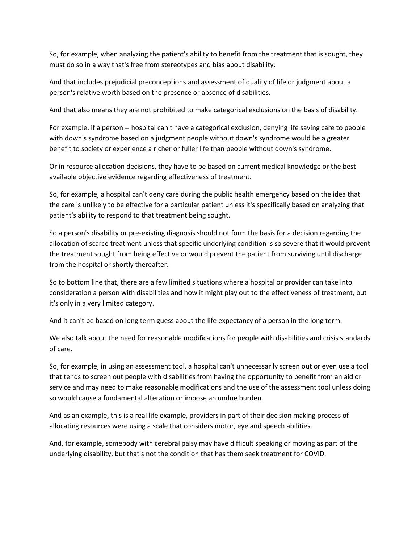So, for example, when analyzing the patient's ability to benefit from the treatment that is sought, they must do so in a way that's free from stereotypes and bias about disability.

And that includes prejudicial preconceptions and assessment of quality of life or judgment about a person's relative worth based on the presence or absence of disabilities.

And that also means they are not prohibited to make categorical exclusions on the basis of disability.

For example, if a person -- hospital can't have a categorical exclusion, denying life saving care to people with down's syndrome based on a judgment people without down's syndrome would be a greater benefit to society or experience a richer or fuller life than people without down's syndrome.

Or in resource allocation decisions, they have to be based on current medical knowledge or the best available objective evidence regarding effectiveness of treatment.

So, for example, a hospital can't deny care during the public health emergency based on the idea that the care is unlikely to be effective for a particular patient unless it's specifically based on analyzing that patient's ability to respond to that treatment being sought.

So a person's disability or pre-existing diagnosis should not form the basis for a decision regarding the allocation of scarce treatment unless that specific underlying condition is so severe that it would prevent the treatment sought from being effective or would prevent the patient from surviving until discharge from the hospital or shortly thereafter.

So to bottom line that, there are a few limited situations where a hospital or provider can take into consideration a person with disabilities and how it might play out to the effectiveness of treatment, but it's only in a very limited category.

And it can't be based on long term guess about the life expectancy of a person in the long term.

We also talk about the need for reasonable modifications for people with disabilities and crisis standards of care.

So, for example, in using an assessment tool, a hospital can't unnecessarily screen out or even use a tool that tends to screen out people with disabilities from having the opportunity to benefit from an aid or service and may need to make reasonable modifications and the use of the assessment tool unless doing so would cause a fundamental alteration or impose an undue burden.

And as an example, this is a real life example, providers in part of their decision making process of allocating resources were using a scale that considers motor, eye and speech abilities.

And, for example, somebody with cerebral palsy may have difficult speaking or moving as part of the underlying disability, but that's not the condition that has them seek treatment for COVID.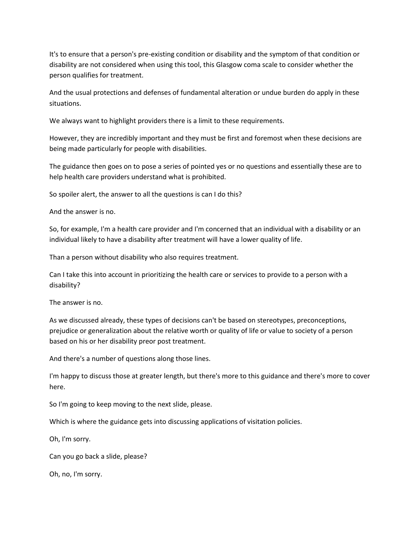It's to ensure that a person's pre-existing condition or disability and the symptom of that condition or disability are not considered when using this tool, this Glasgow coma scale to consider whether the person qualifies for treatment.

And the usual protections and defenses of fundamental alteration or undue burden do apply in these situations.

We always want to highlight providers there is a limit to these requirements.

However, they are incredibly important and they must be first and foremost when these decisions are being made particularly for people with disabilities.

The guidance then goes on to pose a series of pointed yes or no questions and essentially these are to help health care providers understand what is prohibited.

So spoiler alert, the answer to all the questions is can I do this?

And the answer is no.

So, for example, I'm a health care provider and I'm concerned that an individual with a disability or an individual likely to have a disability after treatment will have a lower quality of life.

Than a person without disability who also requires treatment.

Can I take this into account in prioritizing the health care or services to provide to a person with a disability?

The answer is no.

As we discussed already, these types of decisions can't be based on stereotypes, preconceptions, prejudice or generalization about the relative worth or quality of life or value to society of a person based on his or her disability preor post treatment.

And there's a number of questions along those lines.

I'm happy to discuss those at greater length, but there's more to this guidance and there's more to cover here.

So I'm going to keep moving to the next slide, please.

Which is where the guidance gets into discussing applications of visitation policies.

Oh, I'm sorry.

Can you go back a slide, please?

Oh, no, I'm sorry.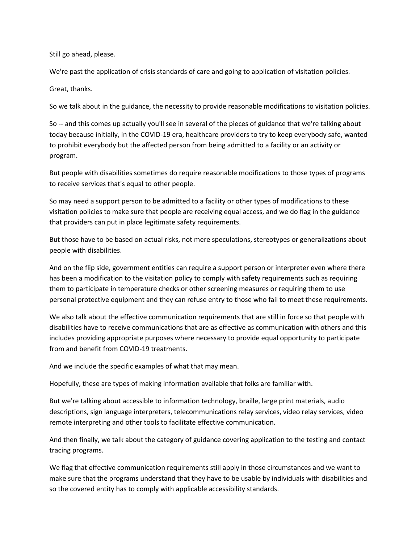Still go ahead, please.

We're past the application of crisis standards of care and going to application of visitation policies.

Great, thanks.

So we talk about in the guidance, the necessity to provide reasonable modifications to visitation policies.

So -- and this comes up actually you'll see in several of the pieces of guidance that we're talking about today because initially, in the COVID-19 era, healthcare providers to try to keep everybody safe, wanted to prohibit everybody but the affected person from being admitted to a facility or an activity or program.

But people with disabilities sometimes do require reasonable modifications to those types of programs to receive services that's equal to other people.

So may need a support person to be admitted to a facility or other types of modifications to these visitation policies to make sure that people are receiving equal access, and we do flag in the guidance that providers can put in place legitimate safety requirements.

But those have to be based on actual risks, not mere speculations, stereotypes or generalizations about people with disabilities.

And on the flip side, government entities can require a support person or interpreter even where there has been a modification to the visitation policy to comply with safety requirements such as requiring them to participate in temperature checks or other screening measures or requiring them to use personal protective equipment and they can refuse entry to those who fail to meet these requirements.

We also talk about the effective communication requirements that are still in force so that people with disabilities have to receive communications that are as effective as communication with others and this includes providing appropriate purposes where necessary to provide equal opportunity to participate from and benefit from COVID-19 treatments.

And we include the specific examples of what that may mean.

Hopefully, these are types of making information available that folks are familiar with.

But we're talking about accessible to information technology, braille, large print materials, audio descriptions, sign language interpreters, telecommunications relay services, video relay services, video remote interpreting and other tools to facilitate effective communication.

And then finally, we talk about the category of guidance covering application to the testing and contact tracing programs.

We flag that effective communication requirements still apply in those circumstances and we want to make sure that the programs understand that they have to be usable by individuals with disabilities and so the covered entity has to comply with applicable accessibility standards.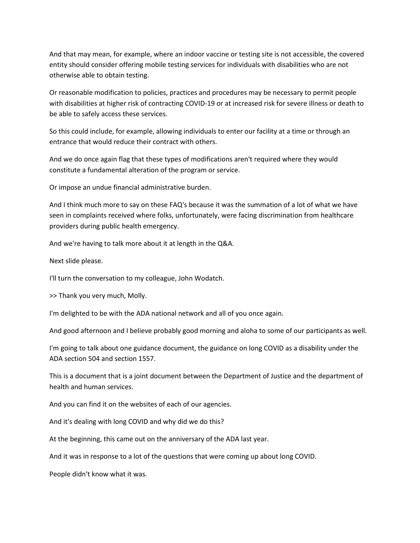And that may mean, for example, where an indoor vaccine or testing site is not accessible, the covered entity should consider offering mobile testing services for individuals with disabilities who are not otherwise able to obtain testing.

Or reasonable modification to policies, practices and procedures may be necessary to permit people with disabilities at higher risk of contracting COVID-19 or at increased risk for severe illness or death to be able to safely access these services.

So this could include, for example, allowing individuals to enter our facility at a time or through an entrance that would reduce their contract with others.

And we do once again flag that these types of modifications aren't required where they would constitute a fundamental alteration of the program or service.

Or impose an undue financial administrative burden.

And I think much more to say on these FAQ's because it was the summation of a lot of what we have seen in complaints received where folks, unfortunately, were facing discrimination from healthcare providers during public health emergency.

And we're having to talk more about it at length in the Q&A.

Next slide please.

I'll turn the conversation to my colleague, John Wodatch.

>> Thank you very much, Molly.

I'm delighted to be with the ADA national network and all of you once again.

And good afternoon and I believe probably good morning and aloha to some of our participants as well.

I'm going to talk about one guidance document, the guidance on long COVID as a disability under the ADA section 504 and section 1557.

This is a document that is a joint document between the Department of Justice and the department of health and human services.

And you can find it on the websites of each of our agencies.

And it's dealing with long COVID and why did we do this?

At the beginning, this came out on the anniversary of the ADA last year.

And it was in response to a lot of the questions that were coming up about long COVID.

People didn't know what it was.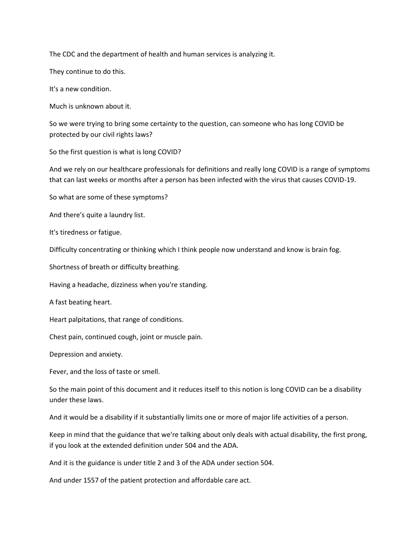The CDC and the department of health and human services is analyzing it.

They continue to do this.

It's a new condition.

Much is unknown about it.

So we were trying to bring some certainty to the question, can someone who has long COVID be protected by our civil rights laws?

So the first question is what is long COVID?

And we rely on our healthcare professionals for definitions and really long COVID is a range of symptoms that can last weeks or months after a person has been infected with the virus that causes COVID-19.

So what are some of these symptoms?

And there's quite a laundry list.

It's tiredness or fatigue.

Difficulty concentrating or thinking which I think people now understand and know is brain fog.

Shortness of breath or difficulty breathing.

Having a headache, dizziness when you're standing.

A fast beating heart.

Heart palpitations, that range of conditions.

Chest pain, continued cough, joint or muscle pain.

Depression and anxiety.

Fever, and the loss of taste or smell.

So the main point of this document and it reduces itself to this notion is long COVID can be a disability under these laws.

And it would be a disability if it substantially limits one or more of major life activities of a person.

Keep in mind that the guidance that we're talking about only deals with actual disability, the first prong, if you look at the extended definition under 504 and the ADA.

And it is the guidance is under title 2 and 3 of the ADA under section 504.

And under 1557 of the patient protection and affordable care act.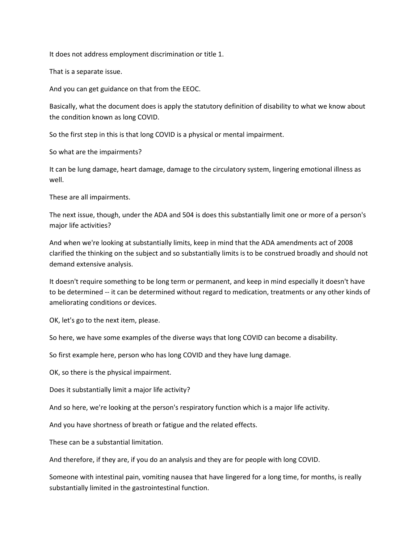It does not address employment discrimination or title 1.

That is a separate issue.

And you can get guidance on that from the EEOC.

Basically, what the document does is apply the statutory definition of disability to what we know about the condition known as long COVID.

So the first step in this is that long COVID is a physical or mental impairment.

So what are the impairments?

It can be lung damage, heart damage, damage to the circulatory system, lingering emotional illness as well.

These are all impairments.

The next issue, though, under the ADA and 504 is does this substantially limit one or more of a person's major life activities?

And when we're looking at substantially limits, keep in mind that the ADA amendments act of 2008 clarified the thinking on the subject and so substantially limits is to be construed broadly and should not demand extensive analysis.

It doesn't require something to be long term or permanent, and keep in mind especially it doesn't have to be determined -- it can be determined without regard to medication, treatments or any other kinds of ameliorating conditions or devices.

OK, let's go to the next item, please.

So here, we have some examples of the diverse ways that long COVID can become a disability.

So first example here, person who has long COVID and they have lung damage.

OK, so there is the physical impairment.

Does it substantially limit a major life activity?

And so here, we're looking at the person's respiratory function which is a major life activity.

And you have shortness of breath or fatigue and the related effects.

These can be a substantial limitation.

And therefore, if they are, if you do an analysis and they are for people with long COVID.

Someone with intestinal pain, vomiting nausea that have lingered for a long time, for months, is really substantially limited in the gastrointestinal function.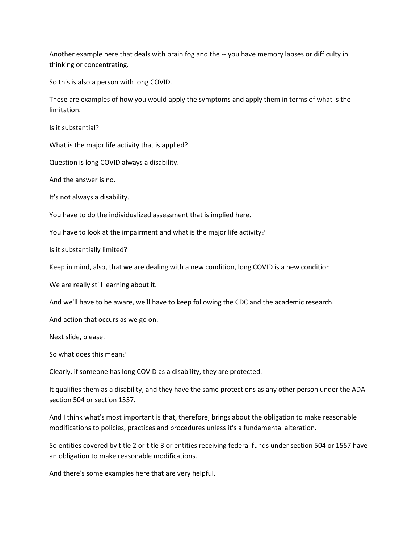Another example here that deals with brain fog and the -- you have memory lapses or difficulty in thinking or concentrating.

So this is also a person with long COVID.

These are examples of how you would apply the symptoms and apply them in terms of what is the limitation.

Is it substantial?

What is the major life activity that is applied?

Question is long COVID always a disability.

And the answer is no.

It's not always a disability.

You have to do the individualized assessment that is implied here.

You have to look at the impairment and what is the major life activity?

Is it substantially limited?

Keep in mind, also, that we are dealing with a new condition, long COVID is a new condition.

We are really still learning about it.

And we'll have to be aware, we'll have to keep following the CDC and the academic research.

And action that occurs as we go on.

Next slide, please.

So what does this mean?

Clearly, if someone has long COVID as a disability, they are protected.

It qualifies them as a disability, and they have the same protections as any other person under the ADA section 504 or section 1557.

And I think what's most important is that, therefore, brings about the obligation to make reasonable modifications to policies, practices and procedures unless it's a fundamental alteration.

So entities covered by title 2 or title 3 or entities receiving federal funds under section 504 or 1557 have an obligation to make reasonable modifications.

And there's some examples here that are very helpful.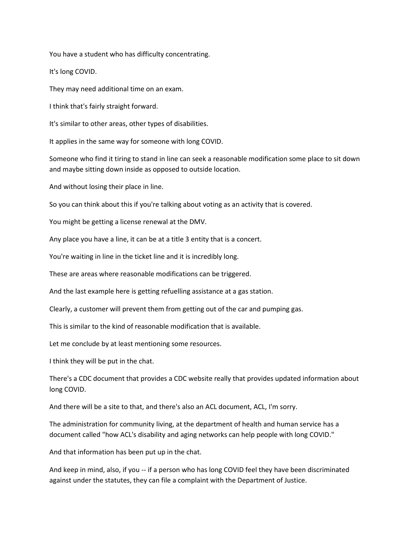You have a student who has difficulty concentrating.

It's long COVID.

They may need additional time on an exam.

I think that's fairly straight forward.

It's similar to other areas, other types of disabilities.

It applies in the same way for someone with long COVID.

Someone who find it tiring to stand in line can seek a reasonable modification some place to sit down and maybe sitting down inside as opposed to outside location.

And without losing their place in line.

So you can think about this if you're talking about voting as an activity that is covered.

You might be getting a license renewal at the DMV.

Any place you have a line, it can be at a title 3 entity that is a concert.

You're waiting in line in the ticket line and it is incredibly long.

These are areas where reasonable modifications can be triggered.

And the last example here is getting refuelling assistance at a gas station.

Clearly, a customer will prevent them from getting out of the car and pumping gas.

This is similar to the kind of reasonable modification that is available.

Let me conclude by at least mentioning some resources.

I think they will be put in the chat.

There's a CDC document that provides a CDC website really that provides updated information about long COVID.

And there will be a site to that, and there's also an ACL document, ACL, I'm sorry.

The administration for community living, at the department of health and human service has a document called "how ACL's disability and aging networks can help people with long COVID."

And that information has been put up in the chat.

And keep in mind, also, if you -- if a person who has long COVID feel they have been discriminated against under the statutes, they can file a complaint with the Department of Justice.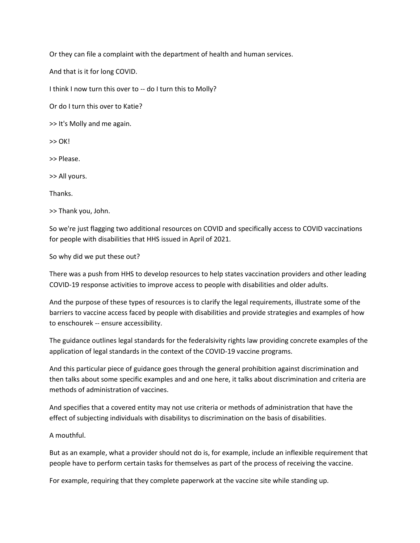Or they can file a complaint with the department of health and human services.

And that is it for long COVID.

I think I now turn this over to -- do I turn this to Molly?

Or do I turn this over to Katie?

>> It's Molly and me again.

>> OK!

>> Please.

>> All yours.

Thanks.

>> Thank you, John.

So we're just flagging two additional resources on COVID and specifically access to COVID vaccinations for people with disabilities that HHS issued in April of 2021.

So why did we put these out?

There was a push from HHS to develop resources to help states vaccination providers and other leading COVID-19 response activities to improve access to people with disabilities and older adults.

And the purpose of these types of resources is to clarify the legal requirements, illustrate some of the barriers to vaccine access faced by people with disabilities and provide strategies and examples of how to enschourek -- ensure accessibility.

The guidance outlines legal standards for the federalsivity rights law providing concrete examples of the application of legal standards in the context of the COVID-19 vaccine programs.

And this particular piece of guidance goes through the general prohibition against discrimination and then talks about some specific examples and and one here, it talks about discrimination and criteria are methods of administration of vaccines.

And specifies that a covered entity may not use criteria or methods of administration that have the effect of subjecting individuals with disabilitys to discrimination on the basis of disabilities.

A mouthful.

But as an example, what a provider should not do is, for example, include an inflexible requirement that people have to perform certain tasks for themselves as part of the process of receiving the vaccine.

For example, requiring that they complete paperwork at the vaccine site while standing up.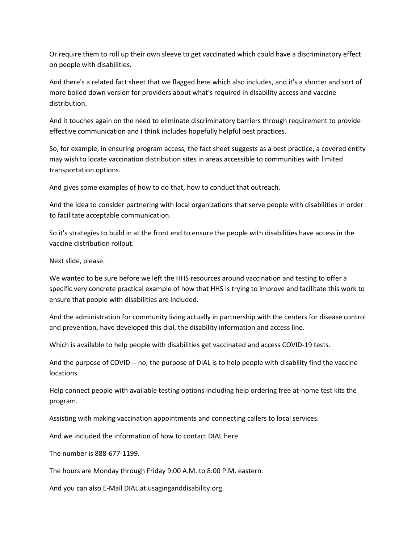Or require them to roll up their own sleeve to get vaccinated which could have a discriminatory effect on people with disabilities.

And there's a related fact sheet that we flagged here which also includes, and it's a shorter and sort of more boiled down version for providers about what's required in disability access and vaccine distribution.

And it touches again on the need to eliminate discriminatory barriers through requirement to provide effective communication and I think includes hopefully helpful best practices.

So, for example, in ensuring program access, the fact sheet suggests as a best practice, a covered entity may wish to locate vaccination distribution sites in areas accessible to communities with limited transportation options.

And gives some examples of how to do that, how to conduct that outreach.

And the idea to consider partnering with local organizations that serve people with disabilities in order to facilitate acceptable communication.

So it's strategies to build in at the front end to ensure the people with disabilities have access in the vaccine distribution rollout.

Next slide, please.

We wanted to be sure before we left the HHS resources around vaccination and testing to offer a specific very concrete practical example of how that HHS is trying to improve and facilitate this work to ensure that people with disabilities are included.

And the administration for community living actually in partnership with the centers for disease control and prevention, have developed this dial, the disability information and access line.

Which is available to help people with disabilities get vaccinated and access COVID-19 tests.

And the purpose of COVID -- no, the purpose of DIAL is to help people with disability find the vaccine locations.

Help connect people with available testing options including help ordering free at-home test kits the program.

Assisting with making vaccination appointments and connecting callers to local services.

And we included the information of how to contact DIAL here.

The number is 888-677-1199.

The hours are Monday through Friday 9:00 A.M. to 8:00 P.M. eastern.

And you can also E-Mail DIAL at usaginganddisability.org.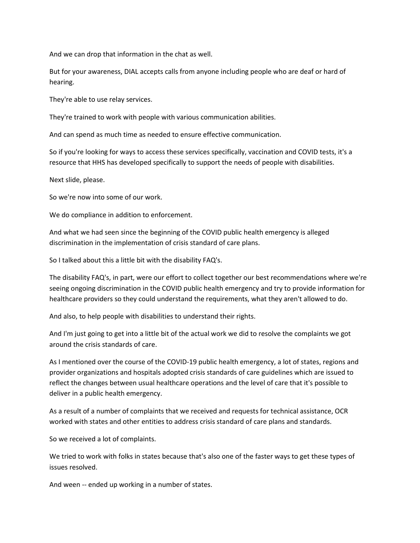And we can drop that information in the chat as well.

But for your awareness, DIAL accepts calls from anyone including people who are deaf or hard of hearing.

They're able to use relay services.

They're trained to work with people with various communication abilities.

And can spend as much time as needed to ensure effective communication.

So if you're looking for ways to access these services specifically, vaccination and COVID tests, it's a resource that HHS has developed specifically to support the needs of people with disabilities.

Next slide, please.

So we're now into some of our work.

We do compliance in addition to enforcement.

And what we had seen since the beginning of the COVID public health emergency is alleged discrimination in the implementation of crisis standard of care plans.

So I talked about this a little bit with the disability FAQ's.

The disability FAQ's, in part, were our effort to collect together our best recommendations where we're seeing ongoing discrimination in the COVID public health emergency and try to provide information for healthcare providers so they could understand the requirements, what they aren't allowed to do.

And also, to help people with disabilities to understand their rights.

And I'm just going to get into a little bit of the actual work we did to resolve the complaints we got around the crisis standards of care.

As I mentioned over the course of the COVID-19 public health emergency, a lot of states, regions and provider organizations and hospitals adopted crisis standards of care guidelines which are issued to reflect the changes between usual healthcare operations and the level of care that it's possible to deliver in a public health emergency.

As a result of a number of complaints that we received and requests for technical assistance, OCR worked with states and other entities to address crisis standard of care plans and standards.

So we received a lot of complaints.

We tried to work with folks in states because that's also one of the faster ways to get these types of issues resolved.

And ween -- ended up working in a number of states.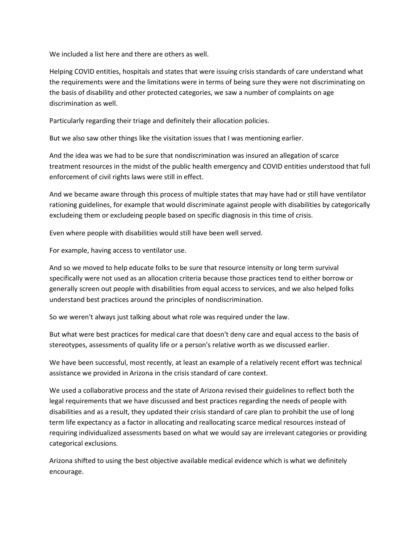We included a list here and there are others as well.

Helping COVID entities, hospitals and states that were issuing crisis standards of care understand what the requirements were and the limitations were in terms of being sure they were not discriminating on the basis of disability and other protected categories, we saw a number of complaints on age discrimination as well.

Particularly regarding their triage and definitely their allocation policies.

But we also saw other things like the visitation issues that I was mentioning earlier.

And the idea was we had to be sure that nondiscrimination was insured an allegation of scarce treatment resources in the midst of the public health emergency and COVID entities understood that full enforcement of civil rights laws were still in effect.

And we became aware through this process of multiple states that may have had or still have ventilator rationing guidelines, for example that would discriminate against people with disabilities by categorically excludeing them or excludeing people based on specific diagnosis in this time of crisis.

Even where people with disabilities would still have been well served.

For example, having access to ventilator use.

And so we moved to help educate folks to be sure that resource intensity or long term survival specifically were not used as an allocation criteria because those practices tend to either borrow or generally screen out people with disabilities from equal access to services, and we also helped folks understand best practices around the principles of nondiscrimination.

So we weren't always just talking about what role was required under the law.

But what were best practices for medical care that doesn't deny care and equal access to the basis of stereotypes, assessments of quality life or a person's relative worth as we discussed earlier.

We have been successful, most recently, at least an example of a relatively recent effort was technical assistance we provided in Arizona in the crisis standard of care context.

We used a collaborative process and the state of Arizona revised their guidelines to reflect both the legal requirements that we have discussed and best practices regarding the needs of people with disabilities and as a result, they updated their crisis standard of care plan to prohibit the use of long term life expectancy as a factor in allocating and reallocating scarce medical resources instead of requiring individualized assessments based on what we would say are irrelevant categories or providing categorical exclusions.

Arizona shifted to using the best objective available medical evidence which is what we definitely encourage.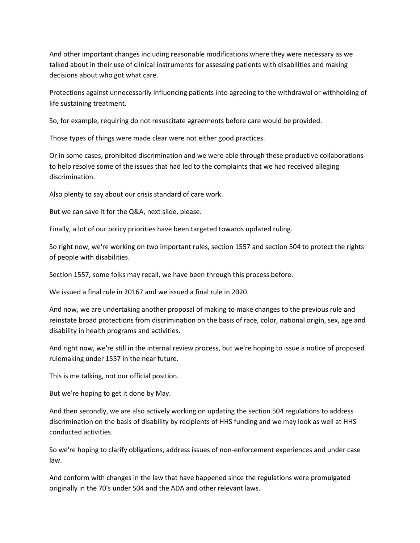And other important changes including reasonable modifications where they were necessary as we talked about in their use of clinical instruments for assessing patients with disabilities and making decisions about who got what care.

Protections against unnecessarily influencing patients into agreeing to the withdrawal or withholding of life sustaining treatment.

So, for example, requiring do not resuscitate agreements before care would be provided.

Those types of things were made clear were not either good practices.

Or in some cases, prohibited discrimination and we were able through these productive collaborations to help resolve some of the issues that had led to the complaints that we had received alleging discrimination.

Also plenty to say about our crisis standard of care work.

But we can save it for the Q&A, next slide, please.

Finally, a lot of our policy priorities have been targeted towards updated ruling.

So right now, we're working on two important rules, section 1557 and section 504 to protect the rights of people with disabilities.

Section 1557, some folks may recall, we have been through this process before.

We issued a final rule in 20167 and we issued a final rule in 2020.

And now, we are undertaking another proposal of making to make changes to the previous rule and reinstate broad protections from discrimination on the basis of race, color, national origin, sex, age and disability in health programs and activities.

And right now, we're still in the internal review process, but we're hoping to issue a notice of proposed rulemaking under 1557 in the near future.

This is me talking, not our official position.

But we're hoping to get it done by May.

And then secondly, we are also actively working on updating the section 504 regulations to address discrimination on the basis of disability by recipients of HHS funding and we may look as well at HHS conducted activities.

So we're hoping to clarify obligations, address issues of non-enforcement experiences and under case law.

And conform with changes in the law that have happened since the regulations were promulgated originally in the 70's under 504 and the ADA and other relevant laws.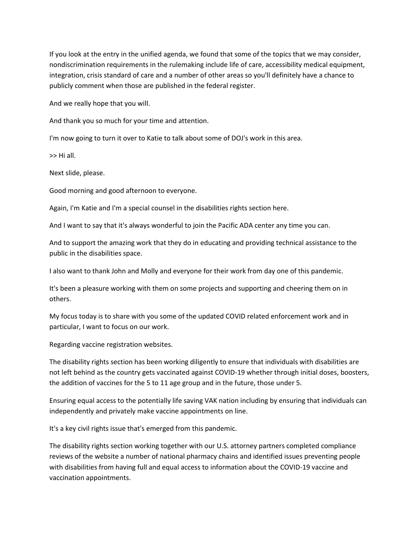If you look at the entry in the unified agenda, we found that some of the topics that we may consider, nondiscrimination requirements in the rulemaking include life of care, accessibility medical equipment, integration, crisis standard of care and a number of other areas so you'll definitely have a chance to publicly comment when those are published in the federal register.

And we really hope that you will.

And thank you so much for your time and attention.

I'm now going to turn it over to Katie to talk about some of DOJ's work in this area.

>> Hi all.

Next slide, please.

Good morning and good afternoon to everyone.

Again, I'm Katie and I'm a special counsel in the disabilities rights section here.

And I want to say that it's always wonderful to join the Pacific ADA center any time you can.

And to support the amazing work that they do in educating and providing technical assistance to the public in the disabilities space.

I also want to thank John and Molly and everyone for their work from day one of this pandemic.

It's been a pleasure working with them on some projects and supporting and cheering them on in others.

My focus today is to share with you some of the updated COVID related enforcement work and in particular, I want to focus on our work.

Regarding vaccine registration websites.

The disability rights section has been working diligently to ensure that individuals with disabilities are not left behind as the country gets vaccinated against COVID-19 whether through initial doses, boosters, the addition of vaccines for the 5 to 11 age group and in the future, those under 5.

Ensuring equal access to the potentially life saving VAK nation including by ensuring that individuals can independently and privately make vaccine appointments on line.

It's a key civil rights issue that's emerged from this pandemic.

The disability rights section working together with our U.S. attorney partners completed compliance reviews of the website a number of national pharmacy chains and identified issues preventing people with disabilities from having full and equal access to information about the COVID-19 vaccine and vaccination appointments.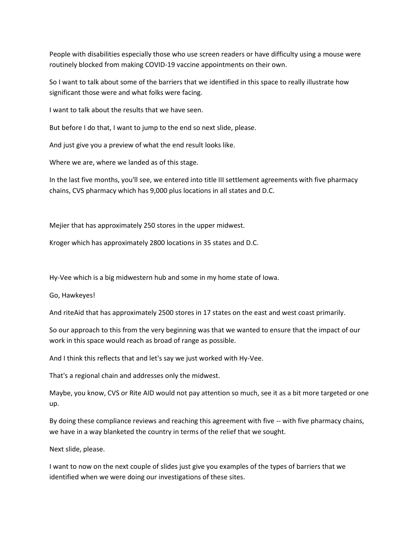People with disabilities especially those who use screen readers or have difficulty using a mouse were routinely blocked from making COVID-19 vaccine appointments on their own.

So I want to talk about some of the barriers that we identified in this space to really illustrate how significant those were and what folks were facing.

I want to talk about the results that we have seen.

But before I do that, I want to jump to the end so next slide, please.

And just give you a preview of what the end result looks like.

Where we are, where we landed as of this stage.

In the last five months, you'll see, we entered into title III settlement agreements with five pharmacy chains, CVS pharmacy which has 9,000 plus locations in all states and D.C.

Mejier that has approximately 250 stores in the upper midwest.

Kroger which has approximately 2800 locations in 35 states and D.C.

Hy-Vee which is a big midwestern hub and some in my home state of Iowa.

Go, Hawkeyes!

And riteAid that has approximately 2500 stores in 17 states on the east and west coast primarily.

So our approach to this from the very beginning was that we wanted to ensure that the impact of our work in this space would reach as broad of range as possible.

And I think this reflects that and let's say we just worked with Hy-Vee.

That's a regional chain and addresses only the midwest.

Maybe, you know, CVS or Rite AID would not pay attention so much, see it as a bit more targeted or one up.

By doing these compliance reviews and reaching this agreement with five -- with five pharmacy chains, we have in a way blanketed the country in terms of the relief that we sought.

Next slide, please.

I want to now on the next couple of slides just give you examples of the types of barriers that we identified when we were doing our investigations of these sites.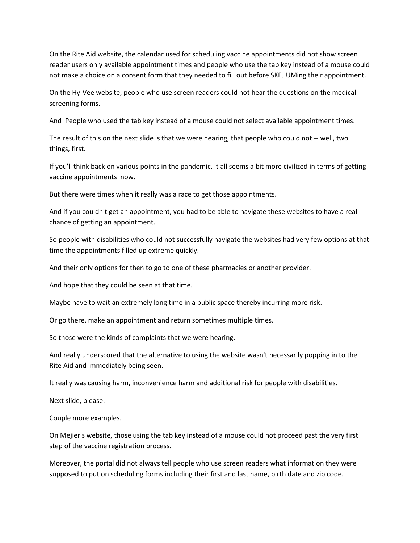On the Rite Aid website, the calendar used for scheduling vaccine appointments did not show screen reader users only available appointment times and people who use the tab key instead of a mouse could not make a choice on a consent form that they needed to fill out before SKEJ UMing their appointment.

On the Hy-Vee website, people who use screen readers could not hear the questions on the medical screening forms.

And People who used the tab key instead of a mouse could not select available appointment times.

The result of this on the next slide is that we were hearing, that people who could not -- well, two things, first.

If you'll think back on various points in the pandemic, it all seems a bit more civilized in terms of getting vaccine appointments now.

But there were times when it really was a race to get those appointments.

And if you couldn't get an appointment, you had to be able to navigate these websites to have a real chance of getting an appointment.

So people with disabilities who could not successfully navigate the websites had very few options at that time the appointments filled up extreme quickly.

And their only options for then to go to one of these pharmacies or another provider.

And hope that they could be seen at that time.

Maybe have to wait an extremely long time in a public space thereby incurring more risk.

Or go there, make an appointment and return sometimes multiple times.

So those were the kinds of complaints that we were hearing.

And really underscored that the alternative to using the website wasn't necessarily popping in to the Rite Aid and immediately being seen.

It really was causing harm, inconvenience harm and additional risk for people with disabilities.

Next slide, please.

Couple more examples.

On Mejier's website, those using the tab key instead of a mouse could not proceed past the very first step of the vaccine registration process.

Moreover, the portal did not always tell people who use screen readers what information they were supposed to put on scheduling forms including their first and last name, birth date and zip code.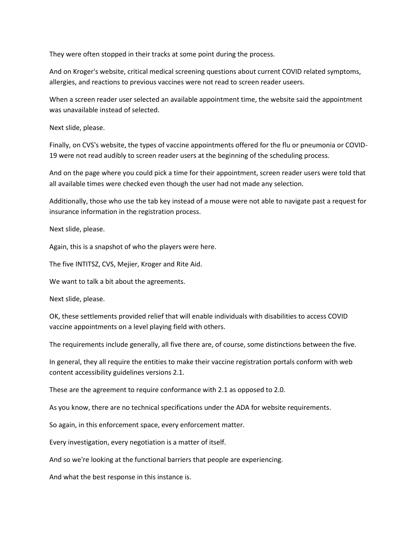They were often stopped in their tracks at some point during the process.

And on Kroger's website, critical medical screening questions about current COVID related symptoms, allergies, and reactions to previous vaccines were not read to screen reader useers.

When a screen reader user selected an available appointment time, the website said the appointment was unavailable instead of selected.

Next slide, please.

Finally, on CVS's website, the types of vaccine appointments offered for the flu or pneumonia or COVID-19 were not read audibly to screen reader users at the beginning of the scheduling process.

And on the page where you could pick a time for their appointment, screen reader users were told that all available times were checked even though the user had not made any selection.

Additionally, those who use the tab key instead of a mouse were not able to navigate past a request for insurance information in the registration process.

Next slide, please.

Again, this is a snapshot of who the players were here.

The five INTITSZ, CVS, Mejier, Kroger and Rite Aid.

We want to talk a bit about the agreements.

Next slide, please.

OK, these settlements provided relief that will enable individuals with disabilities to access COVID vaccine appointments on a level playing field with others.

The requirements include generally, all five there are, of course, some distinctions between the five.

In general, they all require the entities to make their vaccine registration portals conform with web content accessibility guidelines versions 2.1.

These are the agreement to require conformance with 2.1 as opposed to 2.0.

As you know, there are no technical specifications under the ADA for website requirements.

So again, in this enforcement space, every enforcement matter.

Every investigation, every negotiation is a matter of itself.

And so we're looking at the functional barriers that people are experiencing.

And what the best response in this instance is.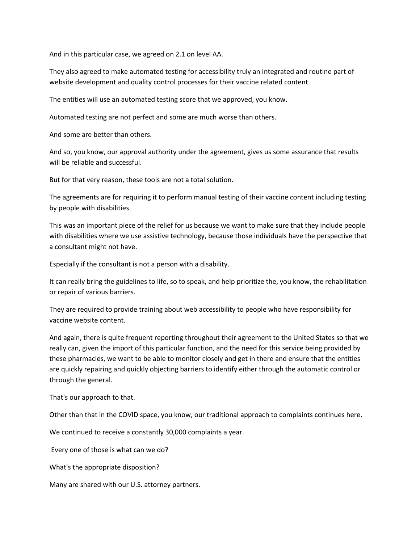And in this particular case, we agreed on 2.1 on level AA.

They also agreed to make automated testing for accessibility truly an integrated and routine part of website development and quality control processes for their vaccine related content.

The entities will use an automated testing score that we approved, you know.

Automated testing are not perfect and some are much worse than others.

And some are better than others.

And so, you know, our approval authority under the agreement, gives us some assurance that results will be reliable and successful.

But for that very reason, these tools are not a total solution.

The agreements are for requiring it to perform manual testing of their vaccine content including testing by people with disabilities.

This was an important piece of the relief for us because we want to make sure that they include people with disabilities where we use assistive technology, because those individuals have the perspective that a consultant might not have.

Especially if the consultant is not a person with a disability.

It can really bring the guidelines to life, so to speak, and help prioritize the, you know, the rehabilitation or repair of various barriers.

They are required to provide training about web accessibility to people who have responsibility for vaccine website content.

And again, there is quite frequent reporting throughout their agreement to the United States so that we really can, given the import of this particular function, and the need for this service being provided by these pharmacies, we want to be able to monitor closely and get in there and ensure that the entities are quickly repairing and quickly objecting barriers to identify either through the automatic control or through the general.

That's our approach to that.

Other than that in the COVID space, you know, our traditional approach to complaints continues here.

We continued to receive a constantly 30,000 complaints a year.

Every one of those is what can we do?

What's the appropriate disposition?

Many are shared with our U.S. attorney partners.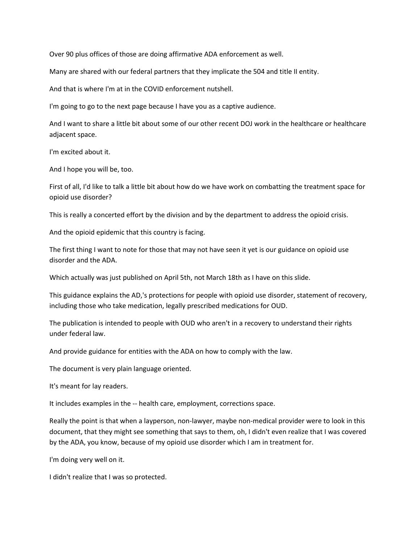Over 90 plus offices of those are doing affirmative ADA enforcement as well.

Many are shared with our federal partners that they implicate the 504 and title II entity.

And that is where I'm at in the COVID enforcement nutshell.

I'm going to go to the next page because I have you as a captive audience.

And I want to share a little bit about some of our other recent DOJ work in the healthcare or healthcare adjacent space.

I'm excited about it.

And I hope you will be, too.

First of all, I'd like to talk a little bit about how do we have work on combatting the treatment space for opioid use disorder?

This is really a concerted effort by the division and by the department to address the opioid crisis.

And the opioid epidemic that this country is facing.

The first thing I want to note for those that may not have seen it yet is our guidance on opioid use disorder and the ADA.

Which actually was just published on April 5th, not March 18th as I have on this slide.

This guidance explains the AD,'s protections for people with opioid use disorder, statement of recovery, including those who take medication, legally prescribed medications for OUD.

The publication is intended to people with OUD who aren't in a recovery to understand their rights under federal law.

And provide guidance for entities with the ADA on how to comply with the law.

The document is very plain language oriented.

It's meant for lay readers.

It includes examples in the -- health care, employment, corrections space.

Really the point is that when a layperson, non-lawyer, maybe non-medical provider were to look in this document, that they might see something that says to them, oh, I didn't even realize that I was covered by the ADA, you know, because of my opioid use disorder which I am in treatment for.

I'm doing very well on it.

I didn't realize that I was so protected.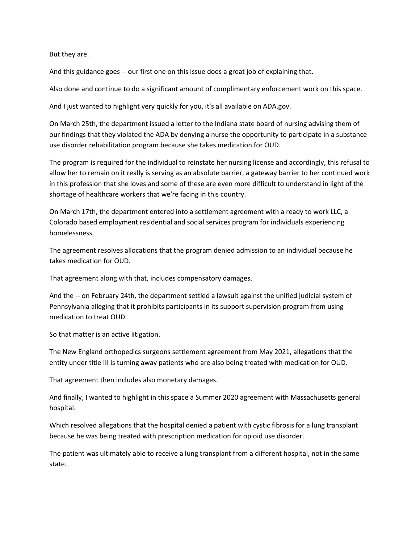But they are.

And this guidance goes -- our first one on this issue does a great job of explaining that.

Also done and continue to do a significant amount of complimentary enforcement work on this space.

And I just wanted to highlight very quickly for you, it's all available on ADA.gov.

On March 25th, the department issued a letter to the Indiana state board of nursing advising them of our findings that they violated the ADA by denying a nurse the opportunity to participate in a substance use disorder rehabilitation program because she takes medication for OUD.

The program is required for the individual to reinstate her nursing license and accordingly, this refusal to allow her to remain on it really is serving as an absolute barrier, a gateway barrier to her continued work in this profession that she loves and some of these are even more difficult to understand in light of the shortage of healthcare workers that we're facing in this country.

On March 17th, the department entered into a settlement agreement with a ready to work LLC, a Colorado based employment residential and social services program for individuals experiencing homelessness.

The agreement resolves allocations that the program denied admission to an individual because he takes medication for OUD.

That agreement along with that, includes compensatory damages.

And the -- on February 24th, the department settled a lawsuit against the unified judicial system of Pennsylvania alleging that it prohibits participants in its support supervision program from using medication to treat OUD.

So that matter is an active litigation.

The New England orthopedics surgeons settlement agreement from May 2021, allegations that the entity under title III is turning away patients who are also being treated with medication for OUD.

That agreement then includes also monetary damages.

And finally, I wanted to highlight in this space a Summer 2020 agreement with Massachusetts general hospital.

Which resolved allegations that the hospital denied a patient with cystic fibrosis for a lung transplant because he was being treated with prescription medication for opioid use disorder.

The patient was ultimately able to receive a lung transplant from a different hospital, not in the same state.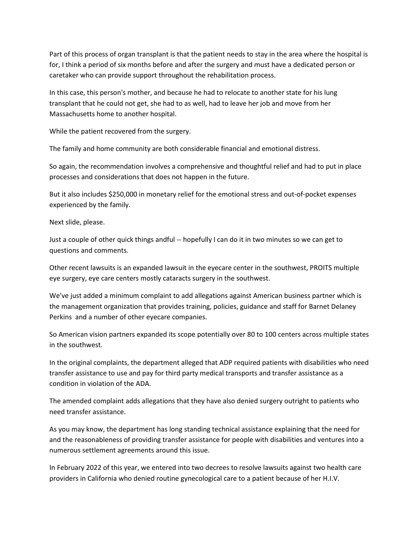Part of this process of organ transplant is that the patient needs to stay in the area where the hospital is for, I think a period of six months before and after the surgery and must have a dedicated person or caretaker who can provide support throughout the rehabilitation process.

In this case, this person's mother, and because he had to relocate to another state for his lung transplant that he could not get, she had to as well, had to leave her job and move from her Massachusetts home to another hospital.

While the patient recovered from the surgery.

The family and home community are both considerable financial and emotional distress.

So again, the recommendation involves a comprehensive and thoughtful relief and had to put in place processes and considerations that does not happen in the future.

But it also includes \$250,000 in monetary relief for the emotional stress and out-of-pocket expenses experienced by the family.

Next slide, please.

Just a couple of other quick things andful -- hopefully I can do it in two minutes so we can get to questions and comments.

Other recent lawsuits is an expanded lawsuit in the eyecare center in the southwest, PROITS multiple eye surgery, eye care centers mostly cataracts surgery in the southwest.

We've just added a minimum complaint to add allegations against American business partner which is the management organization that provides training, policies, guidance and staff for Barnet Delaney Perkins and a number of other eyecare companies.

So American vision partners expanded its scope potentially over 80 to 100 centers across multiple states in the southwest.

In the original complaints, the department alleged that ADP required patients with disabilities who need transfer assistance to use and pay for third party medical transports and transfer assistance as a condition in violation of the ADA.

The amended complaint adds allegations that they have also denied surgery outright to patients who need transfer assistance.

As you may know, the department has long standing technical assistance explaining that the need for and the reasonableness of providing transfer assistance for people with disabilities and ventures into a numerous settlement agreements around this issue.

In February 2022 of this year, we entered into two decrees to resolve lawsuits against two health care providers in California who denied routine gynecological care to a patient because of her H.I.V.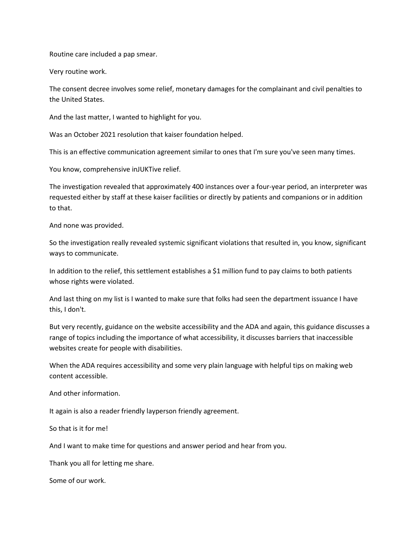Routine care included a pap smear.

Very routine work.

The consent decree involves some relief, monetary damages for the complainant and civil penalties to the United States.

And the last matter, I wanted to highlight for you.

Was an October 2021 resolution that kaiser foundation helped.

This is an effective communication agreement similar to ones that I'm sure you've seen many times.

You know, comprehensive inJUKTive relief.

The investigation revealed that approximately 400 instances over a four-year period, an interpreter was requested either by staff at these kaiser facilities or directly by patients and companions or in addition to that.

And none was provided.

So the investigation really revealed systemic significant violations that resulted in, you know, significant ways to communicate.

In addition to the relief, this settlement establishes a \$1 million fund to pay claims to both patients whose rights were violated.

And last thing on my list is I wanted to make sure that folks had seen the department issuance I have this, I don't.

But very recently, guidance on the website accessibility and the ADA and again, this guidance discusses a range of topics including the importance of what accessibility, it discusses barriers that inaccessible websites create for people with disabilities.

When the ADA requires accessibility and some very plain language with helpful tips on making web content accessible.

And other information.

It again is also a reader friendly layperson friendly agreement.

So that is it for me!

And I want to make time for questions and answer period and hear from you.

Thank you all for letting me share.

Some of our work.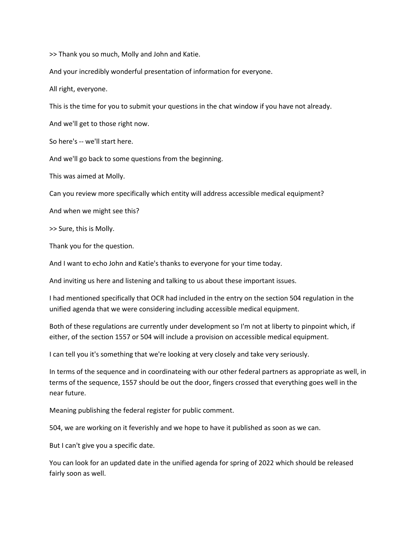>> Thank you so much, Molly and John and Katie.

And your incredibly wonderful presentation of information for everyone.

All right, everyone.

This is the time for you to submit your questions in the chat window if you have not already.

And we'll get to those right now.

So here's -- we'll start here.

And we'll go back to some questions from the beginning.

This was aimed at Molly.

Can you review more specifically which entity will address accessible medical equipment?

And when we might see this?

>> Sure, this is Molly.

Thank you for the question.

And I want to echo John and Katie's thanks to everyone for your time today.

And inviting us here and listening and talking to us about these important issues.

I had mentioned specifically that OCR had included in the entry on the section 504 regulation in the unified agenda that we were considering including accessible medical equipment.

Both of these regulations are currently under development so I'm not at liberty to pinpoint which, if either, of the section 1557 or 504 will include a provision on accessible medical equipment.

I can tell you it's something that we're looking at very closely and take very seriously.

In terms of the sequence and in coordinateing with our other federal partners as appropriate as well, in terms of the sequence, 1557 should be out the door, fingers crossed that everything goes well in the near future.

Meaning publishing the federal register for public comment.

504, we are working on it feverishly and we hope to have it published as soon as we can.

But I can't give you a specific date.

You can look for an updated date in the unified agenda for spring of 2022 which should be released fairly soon as well.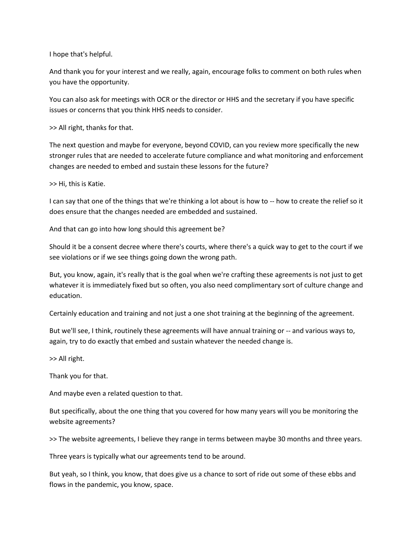I hope that's helpful.

And thank you for your interest and we really, again, encourage folks to comment on both rules when you have the opportunity.

You can also ask for meetings with OCR or the director or HHS and the secretary if you have specific issues or concerns that you think HHS needs to consider.

>> All right, thanks for that.

The next question and maybe for everyone, beyond COVID, can you review more specifically the new stronger rules that are needed to accelerate future compliance and what monitoring and enforcement changes are needed to embed and sustain these lessons for the future?

>> Hi, this is Katie.

I can say that one of the things that we're thinking a lot about is how to -- how to create the relief so it does ensure that the changes needed are embedded and sustained.

And that can go into how long should this agreement be?

Should it be a consent decree where there's courts, where there's a quick way to get to the court if we see violations or if we see things going down the wrong path.

But, you know, again, it's really that is the goal when we're crafting these agreements is not just to get whatever it is immediately fixed but so often, you also need complimentary sort of culture change and education.

Certainly education and training and not just a one shot training at the beginning of the agreement.

But we'll see, I think, routinely these agreements will have annual training or -- and various ways to, again, try to do exactly that embed and sustain whatever the needed change is.

>> All right.

Thank you for that.

And maybe even a related question to that.

But specifically, about the one thing that you covered for how many years will you be monitoring the website agreements?

>> The website agreements, I believe they range in terms between maybe 30 months and three years.

Three years is typically what our agreements tend to be around.

But yeah, so I think, you know, that does give us a chance to sort of ride out some of these ebbs and flows in the pandemic, you know, space.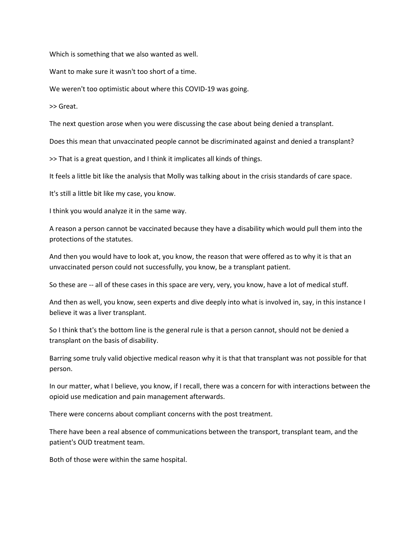Which is something that we also wanted as well.

Want to make sure it wasn't too short of a time.

We weren't too optimistic about where this COVID-19 was going.

>> Great.

The next question arose when you were discussing the case about being denied a transplant.

Does this mean that unvaccinated people cannot be discriminated against and denied a transplant?

>> That is a great question, and I think it implicates all kinds of things.

It feels a little bit like the analysis that Molly was talking about in the crisis standards of care space.

It's still a little bit like my case, you know.

I think you would analyze it in the same way.

A reason a person cannot be vaccinated because they have a disability which would pull them into the protections of the statutes.

And then you would have to look at, you know, the reason that were offered as to why it is that an unvaccinated person could not successfully, you know, be a transplant patient.

So these are -- all of these cases in this space are very, very, you know, have a lot of medical stuff.

And then as well, you know, seen experts and dive deeply into what is involved in, say, in this instance I believe it was a liver transplant.

So I think that's the bottom line is the general rule is that a person cannot, should not be denied a transplant on the basis of disability.

Barring some truly valid objective medical reason why it is that that transplant was not possible for that person.

In our matter, what I believe, you know, if I recall, there was a concern for with interactions between the opioid use medication and pain management afterwards.

There were concerns about compliant concerns with the post treatment.

There have been a real absence of communications between the transport, transplant team, and the patient's OUD treatment team.

Both of those were within the same hospital.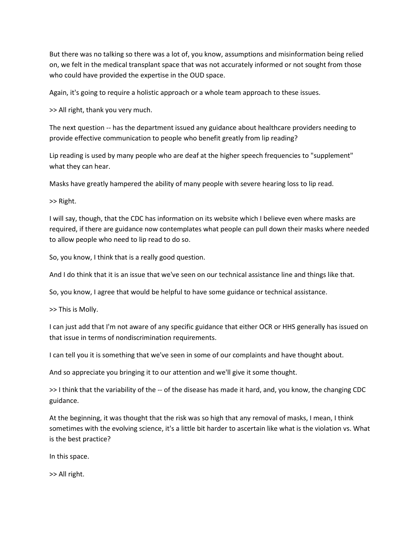But there was no talking so there was a lot of, you know, assumptions and misinformation being relied on, we felt in the medical transplant space that was not accurately informed or not sought from those who could have provided the expertise in the OUD space.

Again, it's going to require a holistic approach or a whole team approach to these issues.

>> All right, thank you very much.

The next question -- has the department issued any guidance about healthcare providers needing to provide effective communication to people who benefit greatly from lip reading?

Lip reading is used by many people who are deaf at the higher speech frequencies to "supplement" what they can hear.

Masks have greatly hampered the ability of many people with severe hearing loss to lip read.

>> Right.

I will say, though, that the CDC has information on its website which I believe even where masks are required, if there are guidance now contemplates what people can pull down their masks where needed to allow people who need to lip read to do so.

So, you know, I think that is a really good question.

And I do think that it is an issue that we've seen on our technical assistance line and things like that.

So, you know, I agree that would be helpful to have some guidance or technical assistance.

>> This is Molly.

I can just add that I'm not aware of any specific guidance that either OCR or HHS generally has issued on that issue in terms of nondiscrimination requirements.

I can tell you it is something that we've seen in some of our complaints and have thought about.

And so appreciate you bringing it to our attention and we'll give it some thought.

>> I think that the variability of the -- of the disease has made it hard, and, you know, the changing CDC guidance.

At the beginning, it was thought that the risk was so high that any removal of masks, I mean, I think sometimes with the evolving science, it's a little bit harder to ascertain like what is the violation vs. What is the best practice?

In this space.

>> All right.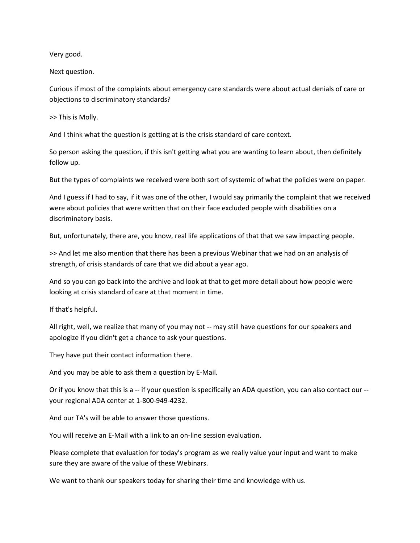Very good.

Next question.

Curious if most of the complaints about emergency care standards were about actual denials of care or objections to discriminatory standards?

>> This is Molly.

And I think what the question is getting at is the crisis standard of care context.

So person asking the question, if this isn't getting what you are wanting to learn about, then definitely follow up.

But the types of complaints we received were both sort of systemic of what the policies were on paper.

And I guess if I had to say, if it was one of the other, I would say primarily the complaint that we received were about policies that were written that on their face excluded people with disabilities on a discriminatory basis.

But, unfortunately, there are, you know, real life applications of that that we saw impacting people.

>> And let me also mention that there has been a previous Webinar that we had on an analysis of strength, of crisis standards of care that we did about a year ago.

And so you can go back into the archive and look at that to get more detail about how people were looking at crisis standard of care at that moment in time.

If that's helpful.

All right, well, we realize that many of you may not -- may still have questions for our speakers and apologize if you didn't get a chance to ask your questions.

They have put their contact information there.

And you may be able to ask them a question by E-Mail.

Or if you know that this is a -- if your question is specifically an ADA question, you can also contact our - your regional ADA center at 1-800-949-4232.

And our TA's will be able to answer those questions.

You will receive an E-Mail with a link to an on-line session evaluation.

Please complete that evaluation for today's program as we really value your input and want to make sure they are aware of the value of these Webinars.

We want to thank our speakers today for sharing their time and knowledge with us.